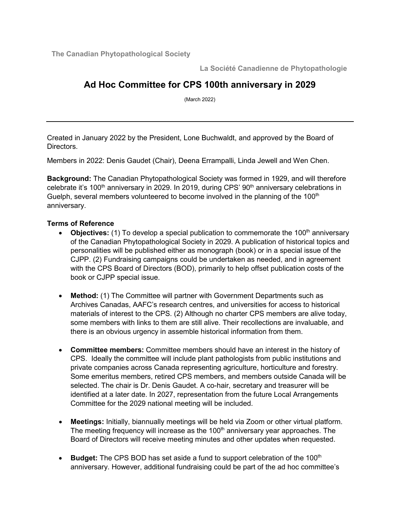**The Canadian Phytopathological Society**

**La Société Canadienne de Phytopathologie**

## **Ad Hoc Committee for CPS 100th anniversary in 2029**

(March 2022)

Created in January 2022 by the President, Lone Buchwaldt, and approved by the Board of Directors.

Members in 2022: Denis Gaudet (Chair), Deena Errampalli, Linda Jewell and Wen Chen.

**Background:** The Canadian Phytopathological Society was formed in 1929, and will therefore celebrate it's 100<sup>th</sup> anniversary in 2029. In 2019, during CPS' 90<sup>th</sup> anniversary celebrations in Guelph, several members volunteered to become involved in the planning of the  $100<sup>th</sup>$ anniversary.

## **Terms of Reference**

- **Objectives:** (1) To develop a special publication to commemorate the 100<sup>th</sup> anniversary of the Canadian Phytopathological Society in 2029. A publication of historical topics and personalities will be published either as monograph (book) or in a special issue of the CJPP. (2) Fundraising campaigns could be undertaken as needed, and in agreement with the CPS Board of Directors (BOD), primarily to help offset publication costs of the book or CJPP special issue.
- **Method:** (1) The Committee will partner with Government Departments such as Archives Canadas, AAFC's research centres, and universities for access to historical materials of interest to the CPS. (2) Although no charter CPS members are alive today, some members with links to them are still alive. Their recollections are invaluable, and there is an obvious urgency in assemble historical information from them.
- **Committee members:** Committee members should have an interest in the history of CPS. Ideally the committee will include plant pathologists from public institutions and private companies across Canada representing agriculture, horticulture and forestry. Some emeritus members, retired CPS members, and members outside Canada will be selected. The chair is Dr. Denis Gaudet. A co-hair, secretary and treasurer will be identified at a later date. In 2027, representation from the future Local Arrangements Committee for the 2029 national meeting will be included.
- **Meetings:** Initially, biannually meetings will be held via Zoom or other virtual platform. The meeting frequency will increase as the 100<sup>th</sup> anniversary year approaches. The Board of Directors will receive meeting minutes and other updates when requested.
- **Budget:** The CPS BOD has set aside a fund to support celebration of the 100<sup>th</sup> anniversary. However, additional fundraising could be part of the ad hoc committee's